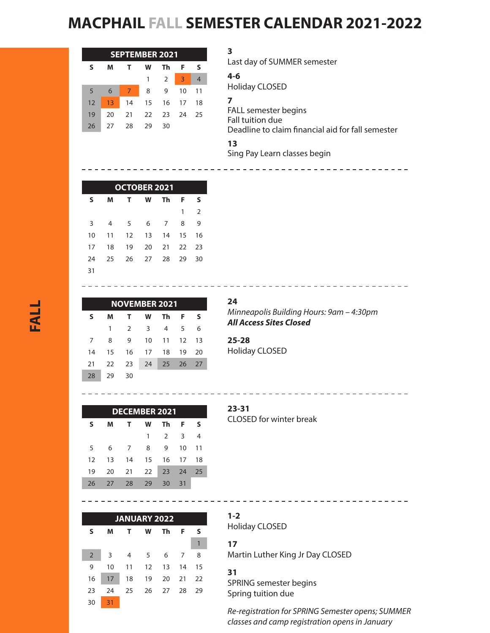# **MACPHAIL FALL SEMESTER CALENDAR 2021-2022**

| <b>SEPTEMBER 2021</b> |    |    |    |                |                |    |  |  |
|-----------------------|----|----|----|----------------|----------------|----|--|--|
| s                     | м  |    | w  | Тh             | F              | s  |  |  |
|                       |    |    | 1  | $\overline{2}$ | $\overline{3}$ | 4  |  |  |
| 5                     | 6  | 7  | 8  | 9              | 10             | 11 |  |  |
| 12                    | 13 | 14 | 15 | -16            | 17             | 18 |  |  |
| 19                    | 20 | 21 | 22 | - 23           | 24             | 25 |  |  |
| 26                    | 27 | 28 | 29 | 30             |                |    |  |  |

**3** Last day of SUMMER semester **4-6** Holiday CLOSED **7**  FALL semester begins Fall tuition due Deadline to claim financial aid for fall semester **13**  Sing Pay Learn classes begin

| <b>OCTOBER 2021</b> |    |    |    |    |    |                |  |  |
|---------------------|----|----|----|----|----|----------------|--|--|
| S                   | м  | т  | w  | Τh | F  | s              |  |  |
|                     |    |    |    |    | 1  | $\overline{2}$ |  |  |
| 3                   | 4  | .5 | 6  | 7  | 8  | 9              |  |  |
| 10                  | 11 | 12 | 13 | 14 | 15 | 16             |  |  |
| 17                  | 18 | 19 | 20 | 21 | 22 | 23             |  |  |
| 24                  | 25 | 26 | 27 | 28 | 29 | 30             |  |  |
| 31                  |    |    |    |    |    |                |  |  |

| <b>NOVEMBER 2021</b> |    |                |                |       |    |      |  |  |
|----------------------|----|----------------|----------------|-------|----|------|--|--|
| S                    | м  | т              | W              | Th.   | F  | s    |  |  |
|                      | 1  | $\overline{2}$ | $\overline{3}$ | 4     | 5  | 6    |  |  |
| 7                    | 8  | 9              | 10             | 11    | 12 | -13  |  |  |
| 14                   | 15 | -16            | 17             | 18    | 19 | 20   |  |  |
| 21                   | 22 | 23             | 24             | 25 26 |    | - 27 |  |  |
| 28                   | 29 | 30             |                |       |    |      |  |  |

----------------

**24** *Minneapolis Building Hours: 9am – 4:30pm All Access Sites Closed*

---------------------------------

\_\_\_\_\_\_\_\_\_\_\_\_\_\_\_\_\_\_\_\_\_\_\_\_\_\_\_\_\_

**25-28** Holiday CLOSED

| <b>DECEMBER 2021</b> |    |    |    |               |    |    |  |  |
|----------------------|----|----|----|---------------|----|----|--|--|
| S                    | м  | т  | w  | Τh            | F  | s  |  |  |
|                      |    |    | 1  | $\mathcal{P}$ | 3  | 4  |  |  |
| 5                    | 6  | 7  | 8  | 9             | 10 | 11 |  |  |
| 12                   | 13 | 14 | 15 | 16            | 17 | 18 |  |  |
| 19                   | 20 | 21 | 22 | 23            | 74 | 25 |  |  |
| 26                   | 27 | 28 | 29 | 30            | 31 |    |  |  |

| <b>JANUARY 2022</b> |    |    |    |    |    |    |  |  |  |
|---------------------|----|----|----|----|----|----|--|--|--|
| S                   | M  | т  | w  | Th | F  | s  |  |  |  |
|                     |    |    |    |    |    | 1  |  |  |  |
| $\overline{2}$      | 3  | 4  | 5  | 6  | 7  | 8  |  |  |  |
| 9                   | 10 | 11 | 12 | 13 | 14 | 15 |  |  |  |
| 16                  | 17 | 18 | 19 | 20 | 21 | 22 |  |  |  |
| 23                  | 24 | 25 | 26 | 27 | 28 | 29 |  |  |  |
| 30                  | 31 |    |    |    |    |    |  |  |  |

#### **23-31** CLOSED for winter break

**1-2** Holiday CLOSED

Martin Luther King Jr Day CLOSED

### **31**

**17** 

 $- - - - - - - -$ 

SPRING semester begins Spring tuition due

*Re-registration for SPRING Semester opens; SUMMER classes and camp registration opens in January*

\_\_\_\_\_\_\_\_\_\_\_\_\_\_\_\_\_\_\_\_\_\_\_\_\_\_\_\_\_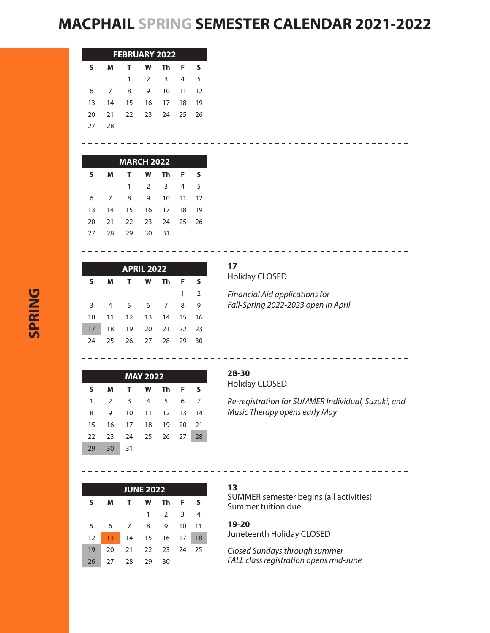## **MACPHAIL SPRING SEMESTER CALENDAR 2021-2022**

| <b>FEBRUARY 2022</b> |                |                |             |    |    |    |  |  |
|----------------------|----------------|----------------|-------------|----|----|----|--|--|
| S                    | м              | т.             | W           | Τh | F  | s  |  |  |
|                      |                | $\mathbf{1}$   | $2^{\circ}$ | 3  | 4  | 5  |  |  |
| 6                    | $\overline{7}$ | 8              | 9           | 10 | 11 | 12 |  |  |
| 13                   | 14             | 15             | - 16        | 17 | 18 | 19 |  |  |
| 20                   | -21            | 22 23 24 25 26 |             |    |    |    |  |  |
| 27                   | 28             |                |             |    |    |    |  |  |

| <b>MARCH 2022</b> |    |    |    |     |    |       |  |  |
|-------------------|----|----|----|-----|----|-------|--|--|
| S                 | м  | т  | W  | Th  | F  | s     |  |  |
|                   |    | 1  | 2  | 3   | 4  | 5     |  |  |
| 6                 | 7  | 8  | 9  | 10  |    | 11 12 |  |  |
| 13                | 14 | 15 | 16 | 17  | 18 | 19    |  |  |
| 20                | 21 | 22 | 23 | 24  | 25 | 26    |  |  |
| 27                | 28 | 29 | 30 | -31 |    |       |  |  |

| <b>APRIL 2022</b> |    |                |             |                |    |    |  |
|-------------------|----|----------------|-------------|----------------|----|----|--|
| S                 | M  | T.             | W           | Th Th          | F  | S  |  |
|                   |    |                |             |                | 1  | 2  |  |
| 3                 | 4  | 5 <sup>5</sup> | 6           | $\overline{7}$ | 8  | 9  |  |
| 10                | 11 | 12             | 13 14 15 16 |                |    |    |  |
| 17                | 18 | 19             | 20          | 21 22 23       |    |    |  |
| 24                | 25 | 26             | 27          | -28            | 29 | 30 |  |

| 17 |                       |
|----|-----------------------|
|    | <b>Holiday CLOSED</b> |

*Financial Aid applications for Fall-Spring 2022-2023 open in April*

-------------------------------

--------------------------------

| <b>MAY 2022</b> |    |                         |                |       |     |    |  |  |
|-----------------|----|-------------------------|----------------|-------|-----|----|--|--|
| S               | M  | Τ.                      | <b>W</b>       | Τh    | - F | s  |  |  |
| 1               | 2  | $\overline{\mathbf{3}}$ | 4              | - 5   | 6   | 7  |  |  |
| 8               | 9  | 10                      | 11             | 12    | 13  | 14 |  |  |
| 15              | 16 |                         | 17 18          | 19 20 |     | 21 |  |  |
| 22              | 23 |                         | 24 25 26 27 28 |       |     |    |  |  |
| 29              | 30 | 31                      |                |       |     |    |  |  |

## **28-30**

Holiday CLOSED

*Re-registration for SUMMER Individual, Suzuki, and Music Therapy opens early May*

---------------------------

-----------------------

| <b>JUNE 2022</b> |    |    |    |    |    |    |  |  |
|------------------|----|----|----|----|----|----|--|--|
| S                | м  | Т  | w  | Τh | F  | s  |  |  |
|                  |    |    | 1  | 2  | 3  | 4  |  |  |
| 5                | 6  | 7  | 8  | 9  | 10 | 11 |  |  |
| 12               | 13 | 14 | 15 | 16 | 17 | 18 |  |  |
| 19               | 20 | 21 | 22 | 23 | 24 | 25 |  |  |
| 26               | 27 | 28 | 29 | 30 |    |    |  |  |

## **13**

SUMMER semester begins (all activities) Summer tuition due

## **19-20**

Juneteenth Holiday CLOSED

*Closed Sundays through summer FALL class registration opens mid-June*